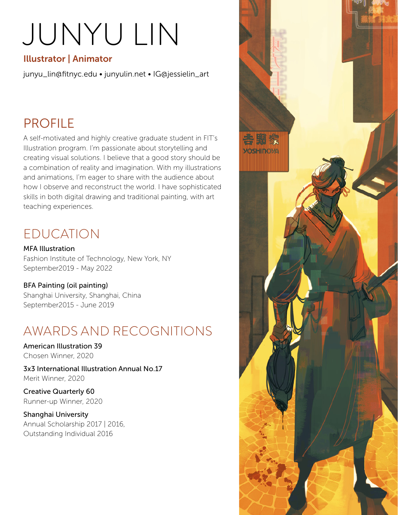# JUNYU LIN

## Illustrator | Animator

junyu\_lin@fitnyc.edu • junyulin.net • IG@jessielin\_art

## PROFILE

A self-motivated and highly creative graduate student in FIT's Illustration program. I'm passionate about storytelling and creating visual solutions. I believe that a good story should be a combination of reality and imagination. With my illustrations and animations, I'm eager to share with the audience about how I observe and reconstruct the world. I have sophisticated skills in both digital drawing and traditional painting, with art teaching experiences.

## EDUCATION

MFA Illustration Fashion Institute of Technology, New York, NY September2019 - May 2022

#### BFA Painting (oil painting) Shanghai University, Shanghai, China September2015 - June 2019

## AWARDS AND RECOGNITIONS

American Illustration 39 Chosen Winner, 2020

3x3 International Illustration Annual No.17 Merit Winner, 2020

Creative Quarterly 60 Runner-up Winner, 2020

Shanghai University Annual Scholarship 2017 | 2016, Outstanding Individual 2016